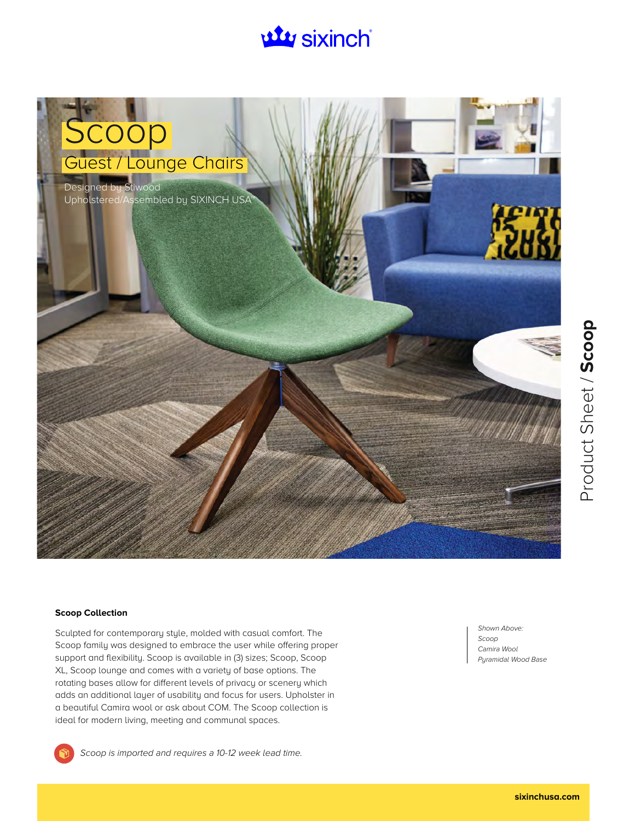# **uty sixinch**



#### **Scoop Collection**

Sculpted for contemporary style, molded with casual comfort. The Scoop family was designed to embrace the user while offering proper support and flexibility. Scoop is available in (3) sizes; Scoop, Scoop XL, Scoop lounge and comes with a variety of base options. The rotating bases allow for different levels of privacy or scenery which adds an additional layer of usability and focus for users. Upholster in a beautiful Camira wool or ask about COM. The Scoop collection is ideal for modern living, meeting and communal spaces.

Shown Above: Scoop Camira Wool Pyramidal Wood Base



Scoop is imported and requires a 10-12 week lead time.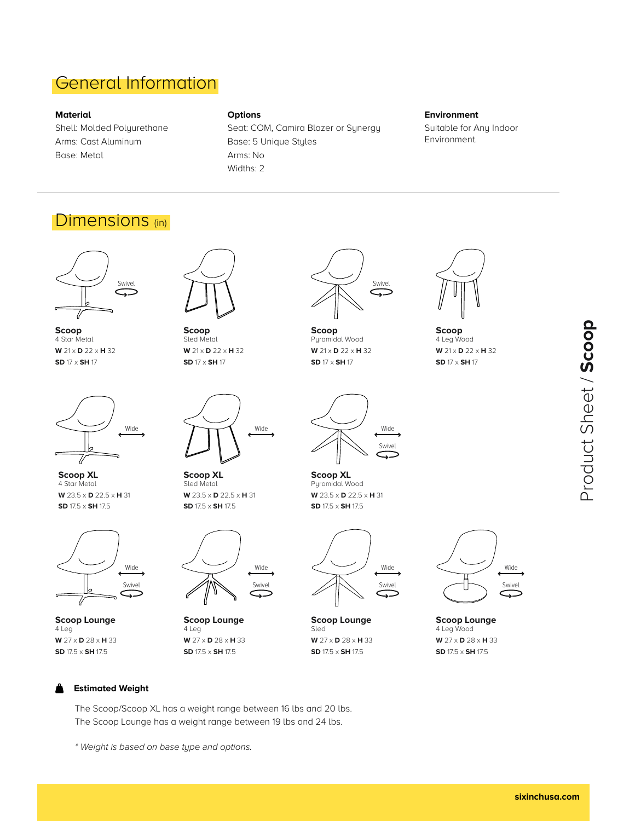### General Information

#### **Material**

Shell: Molded Polyurethane Arms: Cast Aluminum Base: Metal

#### **Options**

Seat: COM, Camira Blazer or Synergy Base: 5 Unique Styles Arms: No Widths: 2

### **Environment**

Suitable for Any Indoor Environment.

### Dimensions (in)



**Scoop** 4 Star Metal **W** 21 x **D** 22 x **H** 32 **SD** 17 x **SH** 17



**Scoop XL** 4 Star Metal **W** 23.5 x **D** 22.5 x **H** 31 **SD** 17.5 x **SH** 17.5



**Scoop Lounge** 4 Leg **W** 27 x **D** 28 x **H** 33 **SD** 17.5 x **SH** 17.5



**Scoop** Sled Metal **W** 21 x **D** 22 x **H** 32 **SD** 17 x **SH** 17



**Scoop XL** Sled Metal **W** 23.5 x **D** 22.5 x **H** 31 **SD** 17.5 x **SH** 17.5



**Scoop Lounge** 4 Leg **W** 27 x **D** 28 x **H** 33 **SD** 17.5 x **SH** 17.5



**Scoop** Pyramidal Wood **W** 21 x **D** 22 x **H** 32 **SD** 17 x **SH** 17



**Scoop XL** Pyramidal Wood **W** 23.5 x **D** 22.5 x **H** 31 **SD** 17.5 x **SH** 17.5



**Scoop Lounge** Sled **W** 27 x **D** 28 x **H** 33 **SD** 17.5 x **SH** 17.5



**Scoop Lounge** 4 Leg Wood **W** 27 x **D** 28 x **H** 33 **SD** 17.5 x **SH** 17.5



**Scoop** 4 Leg Wood **W** 21 x **D** 22 x **H** 32 **SD** 17 x **SH** 17



#### **Estimated Weight**

The Scoop/Scoop XL has a weight range between 16 lbs and 20 lbs. The Scoop Lounge has a weight range between 19 lbs and 24 lbs.

\* Weight is based on base type and options.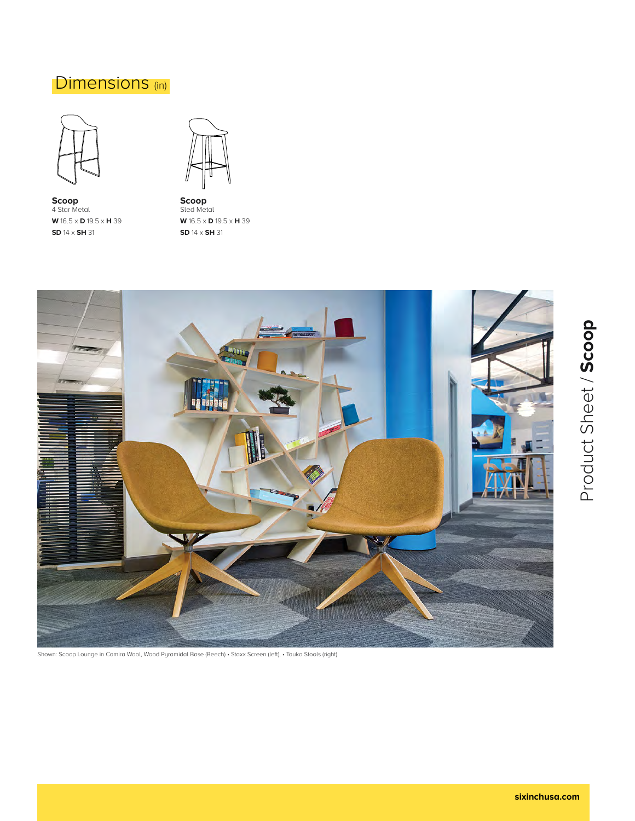### Dimensions (in)



**Scoop** 4 Star Metal **W** 16.5 x **D** 19.5 x **H** 39 **SD** 14 x **SH** 31



**Scoop** Sled Metal **W** 16.5 x **D** 19.5 x **H** 39 **SD** 14 x **SH** 31



Shown: Scoop Lounge in Camira Wool, Wood Pyramidal Base (Beech) • Staxx Screen (left), • Tauko Stools (right)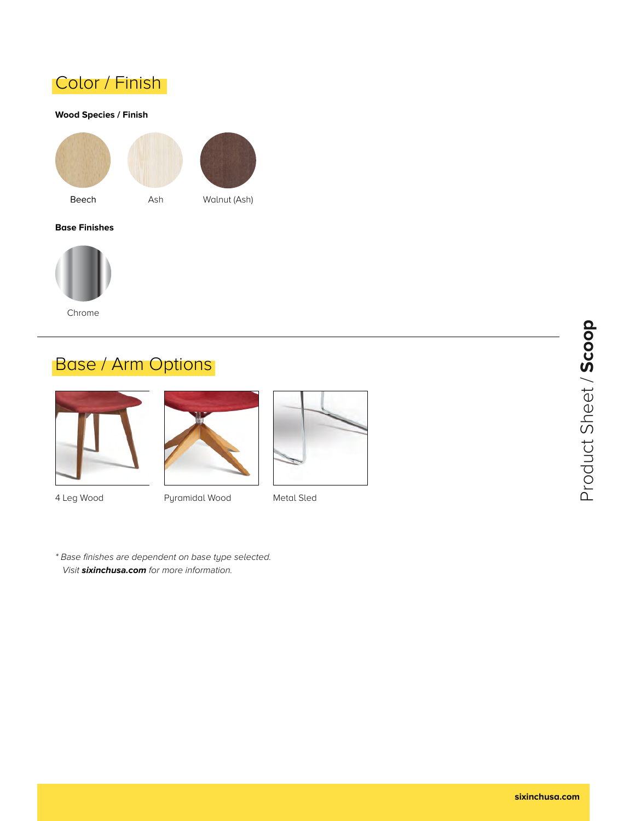

#### **Wood Species / Finish**





#### **Base Finishes**



## Base / Arm Options





4 Leg Wood **Pyramidal Wood** Metal Sled

\* Base finishes are dependent on base type selected. Visit **sixinchusa.com** for more information.



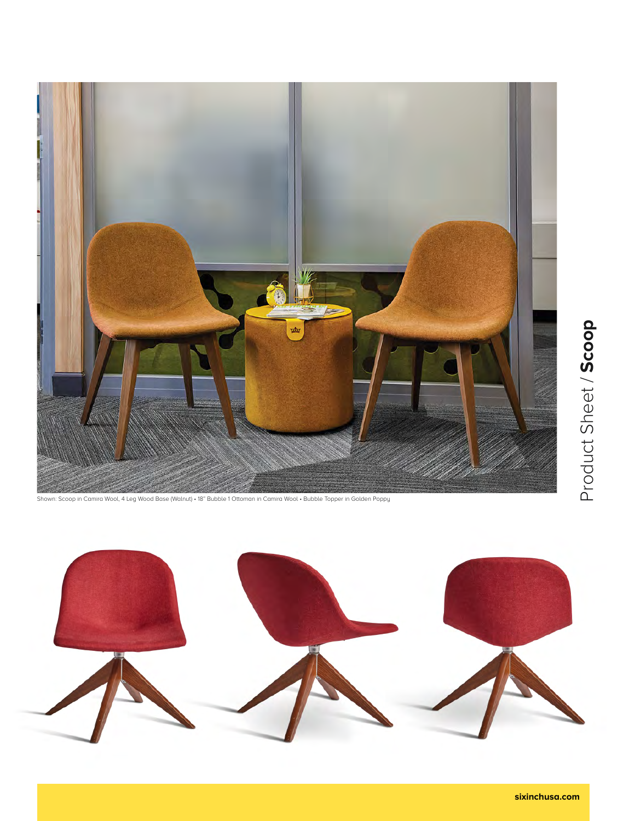

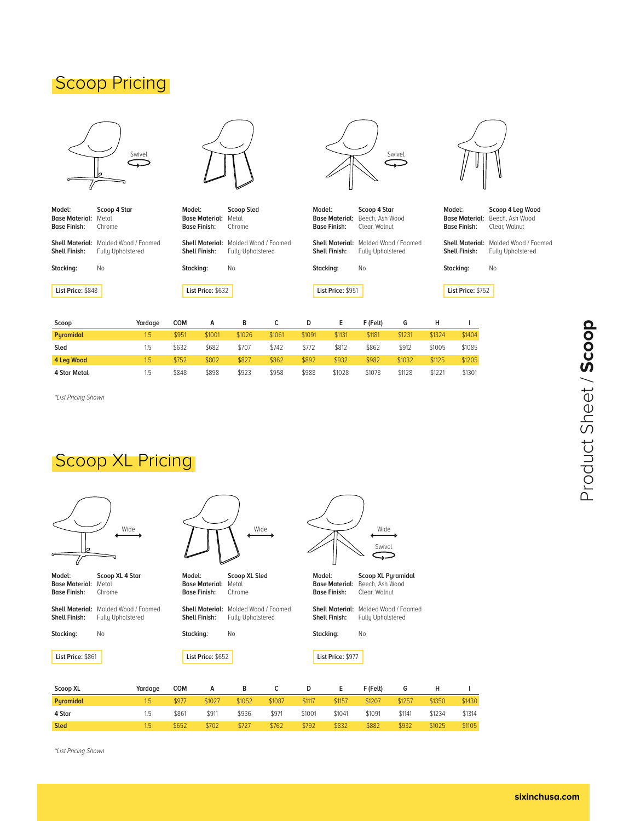### **Scoop Pricing**



| Model:<br><b>Base Material:</b><br><b>Base Finish:</b> Chrome | Scoop 4 Star<br>Metal                                                                 |
|---------------------------------------------------------------|---------------------------------------------------------------------------------------|
|                                                               | <b>Shell Material:</b> Molded Wood / Foamed<br><b>Shell Finish:</b> Fully Upholstered |
| Stacking:                                                     | Nο                                                                                    |
|                                                               |                                                                                       |



| Model:<br><b>Base Material:</b><br><b>Base Finish:</b> |                                                  | Scoop Sled<br><b>Metal</b><br>Chrome |  |  |  |
|--------------------------------------------------------|--------------------------------------------------|--------------------------------------|--|--|--|
| <b>Shell Material:</b><br><b>Shell Finish:</b>         | Molded Wood / Foamed<br><b>Fully Upholstered</b> |                                      |  |  |  |
| Stacking:                                              | N٥                                               |                                      |  |  |  |
| List Price: \$632                                      |                                                  |                                      |  |  |  |



| Model:              | Scoop 4 Star                          |
|---------------------|---------------------------------------|
|                     | <b>Base Material:</b> Beech, Ash Wood |
| <b>Base Finish:</b> | Clear. Walnut                         |
|                     |                                       |

Shell Material: Molded Wood / Foamed Fully Upholstered No **Shell Finish: Stacking:**

**List Price:** \$951

**Scoop 4 Leg Wood** Base Material: Beech, Ash Wood Clear, Walnut **Model: Base Finish:**

Shell Material: Molded Wood / Foamed Fully Upholstered **Shell Finish:**

No

**List Price:** \$752

**Stacking:**

| Scoop               | Yardaae | сом   |        | в      |        | D      |        | F (Felt) | G      |        |        |
|---------------------|---------|-------|--------|--------|--------|--------|--------|----------|--------|--------|--------|
| <b>Puramidal</b>    | 1.5     | \$951 | \$1001 | \$1026 | \$1061 | \$1091 | \$1131 | \$1181   | \$1231 | \$1324 | \$1404 |
| Sled                | 1.5     | \$632 | \$682  | \$707  | \$742  | \$772  | \$812  | \$862    | \$912  | \$1005 | \$1085 |
| 4 Leg Wood          | 1.5     | \$752 | \$802  | \$827  | \$862  | \$892  | \$932  | \$982    | \$1032 | \$1125 | \$1205 |
| <b>4 Star Metal</b> | 1.5     | \$848 | \$898  | \$923  | \$958  | \$988  | \$1028 | \$1078   | \$1128 | \$1221 | \$1301 |

\*List Pricing Shown

**List Price:** \$848

### Scoop XL Pricing

|                                                        | Wide                                      |           |                                              |                                                           | Wide   |           | Wide<br>Swivel                                 |                                                               |        |        |  |  |  |
|--------------------------------------------------------|-------------------------------------------|-----------|----------------------------------------------|-----------------------------------------------------------|--------|-----------|------------------------------------------------|---------------------------------------------------------------|--------|--------|--|--|--|
| Model:<br><b>Base Material:</b><br><b>Base Finish:</b> | Scoop XL 4 Star<br>Metal<br>Chrome        | Model:    | <b>Base Material:</b><br><b>Base Finish:</b> | Scoop XL Sled<br>Metal<br>Chrome                          |        | Model:    | <b>Base Material:</b><br><b>Base Finish:</b>   | <b>Scoop XL Pyramidal</b><br>Beech, Ash Wood<br>Clear, Walnut |        |        |  |  |  |
| <b>Shell Material:</b><br>Shell Finish:                | Molded Wood / Foamed<br>Fully Upholstered |           | <b>Shell Finish:</b>                         | Shell Material: Molded Wood / Foamed<br>Fully Upholstered |        |           | <b>Shell Material:</b><br><b>Shell Finish:</b> | Molded Wood / Foamed<br>Fully Upholstered                     |        |        |  |  |  |
| Stacking:                                              | No                                        | Stacking: |                                              | No                                                        |        | Stacking: | No                                             |                                                               |        |        |  |  |  |
| List Price: \$861                                      |                                           |           | List Price: \$652                            |                                                           |        |           | List Price: \$977                              |                                                               |        |        |  |  |  |
| Scoop XL                                               | Yardage                                   | COM       | A                                            | В                                                         | с      | D         | Е                                              | F (Felt)                                                      | G      | н      |  |  |  |
| Pyramidal                                              | 1.5                                       | \$977     | \$1027                                       | \$1052                                                    | \$1087 | \$1117    | \$1157                                         | \$1207                                                        | \$1257 | \$1350 |  |  |  |
| 4 Star                                                 | 1.5                                       | \$861     | \$911                                        | \$936                                                     | \$971  | \$1001    | \$1041                                         | \$1091                                                        | \$1141 | \$1234 |  |  |  |

\$727

\$762

\$792

\$832

\$882

\$932

\$1025

**I** \$1430 \$1314 \$1105

\*List Pricing Shown

1.5

\$652

\$702

**Sled**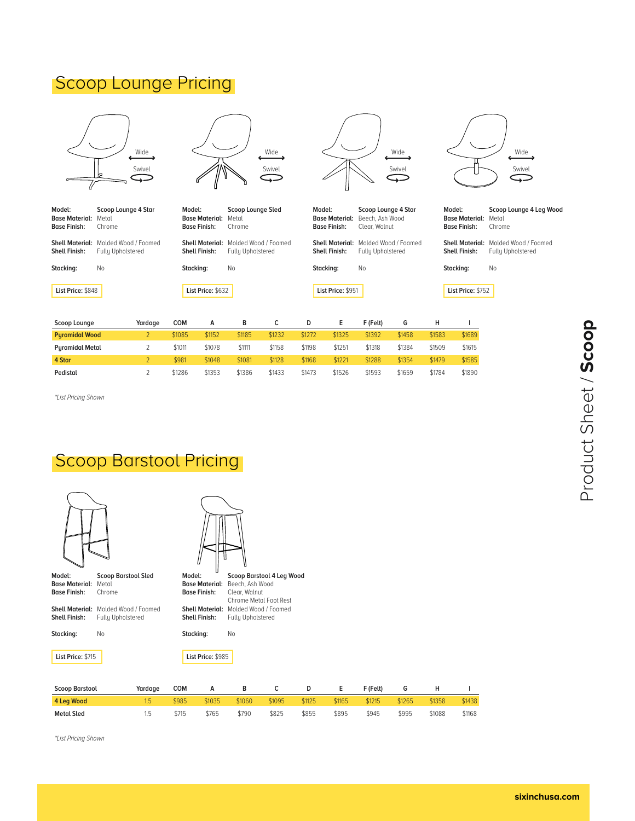### **Scoop Lounge Pricing**



\*List Pricing Shown

**Pedistal**

### Scoop Barstool Pricing

1.5

\$715

\$765

\$790

\$825

\$855

\$895

\$945

\$995

\$1088

\$1168

2

\$1286

\$1353

\$1386

\$1433

\$1473

\$1526

\$1593

\$1659

\$1784

\$1890

| Model:                                       | <b>Scoop Barstool Sled</b> | Model:    |                                              | Scoop Barstool 4 Leg Wood        |        |        |        |          |        |        |        |  |  |  |
|----------------------------------------------|----------------------------|-----------|----------------------------------------------|----------------------------------|--------|--------|--------|----------|--------|--------|--------|--|--|--|
| <b>Base Material:</b><br><b>Base Finish:</b> | Metal<br>Chrome            |           | <b>Base Material:</b><br><b>Base Finish:</b> | Beech, Ash Wood<br>Clear, Walnut |        |        |        |          |        |        |        |  |  |  |
|                                              |                            |           |                                              | Chrome Metal Foot Rest           |        |        |        |          |        |        |        |  |  |  |
| <b>Shell Material:</b>                       | Molded Wood / Foamed       |           | <b>Shell Material:</b>                       | Molded Wood / Foamed             |        |        |        |          |        |        |        |  |  |  |
| Shell Finish:                                | Fully Upholstered          |           | Shell Finish:                                | Fully Upholstered                |        |        |        |          |        |        |        |  |  |  |
| Stacking:                                    | No                         | Stacking: |                                              | No                               |        |        |        |          |        |        |        |  |  |  |
| List Price: \$715                            |                            |           | List Price: \$985                            |                                  |        |        |        |          |        |        |        |  |  |  |
|                                              |                            |           |                                              |                                  |        |        |        |          |        |        |        |  |  |  |
| <b>Scoop Barstool</b>                        | Yardage                    | COM       | А                                            | в                                | c      | D      | Е      | F (Felt) | G      | н      |        |  |  |  |
| 4 Leg Wood                                   | 1.5                        | \$985     | \$1035                                       | \$1060                           | \$1095 | \$1125 | \$1165 | \$1215   | \$1265 | \$1358 | \$1438 |  |  |  |

\*List Pricing Shown

**Metal Sled**